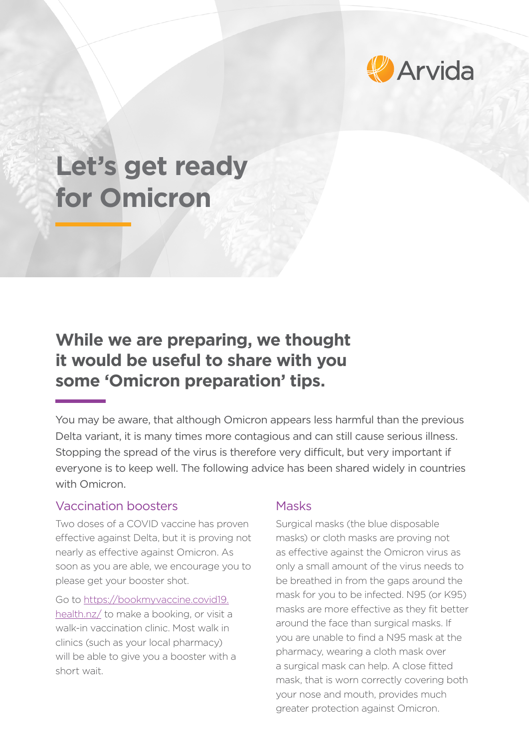

# **Let's get ready for Omicron**

# **While we are preparing, we thought it would be useful to share with you some 'Omicron preparation' tips.**

You may be aware, that although Omicron appears less harmful than the previous Delta variant, it is many times more contagious and can still cause serious illness. Stopping the spread of the virus is therefore very difficult, but very important if everyone is to keep well. The following advice has been shared widely in countries with Omicron

#### Vaccination boosters

Two doses of a COVID vaccine has proven effective against Delta, but it is proving not nearly as effective against Omicron. As soon as you are able, we encourage you to please get your booster shot.

Go to [https://bookmyvaccine.covid19.](https://bookmyvaccine.covid19.health.nz/) [health.nz/](https://bookmyvaccine.covid19.health.nz/) to make a booking, or visit a walk-in vaccination clinic. Most walk in clinics (such as your local pharmacy) will be able to give you a booster with a short wait.

#### Masks

Surgical masks (the blue disposable masks) or cloth masks are proving not as effective against the Omicron virus as only a small amount of the virus needs to be breathed in from the gaps around the mask for you to be infected. N95 (or K95) masks are more effective as they fit better around the face than surgical masks. If you are unable to find a N95 mask at the pharmacy, wearing a cloth mask over a surgical mask can help. A close fitted mask, that is worn correctly covering both your nose and mouth, provides much greater protection against Omicron.